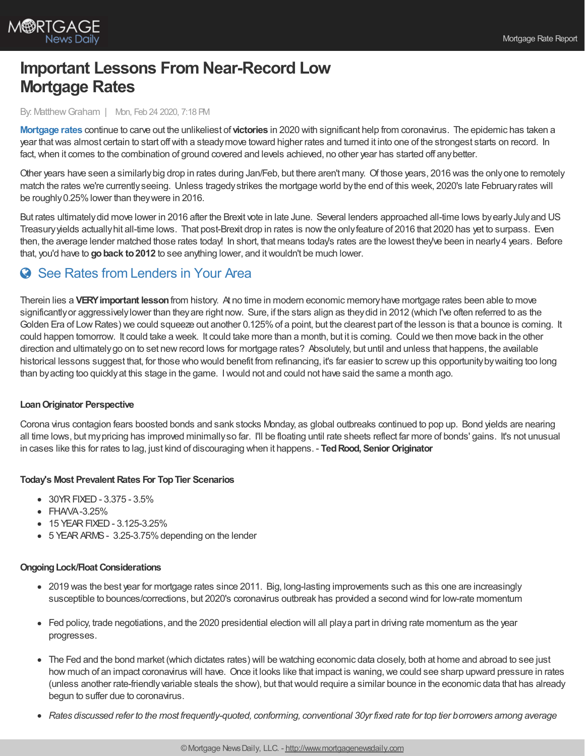

# **Important Lessons From Near-Record Low Mortgage Rates**

#### By: MatthewGraham | Mon, Feb 24 2020, 7:18 PM

**[Mortgage](http://www.mortgagenewsdaily.com/mortgage_rates) rates** continue to carve out the unlikeliest of **victories** in 2020 with significant help from coronavirus. The epidemic has taken a year thatwas almost certain to start offwith a steadymove toward higher rates and turned it into one of the strongest starts on record. In fact, when it comes to the combination of ground covered and levels achieved, no other year has started off any better.

Other years have seen a similarlybig drop in rates during Jan/Feb, but there aren't many. Of those years, 2016 was the onlyone to remotely match the rates we're currentlyseeing. Unless tragedystrikes the mortgage world bythe end of this week, 2020's late Februaryrates will be roughly0.25%lower than theywere in 2016.

But rates ultimately did move lower in 2016 after the Brexit vote in late June. Several lenders approached all-time lows by early July and US Treasuryyields actuallyhit all-time lows. That post-Brexit drop in rates is nowthe onlyfeature of 2016 that 2020 has yet to surpass. Even then, the average lender matched those rates today! In short, that means today's rates are the lowest they've been in nearly4 years. Before that, you'd have to **goback to2012** to see anything lower, and itwouldn't be much lower.

# **See Rates from [Lenders](https://www.mortgagenewsdaily.com/mortgage-rates?srt=true) in Your Area**

Therein lies a **VERYimportant lesson**from history. At no time in modern economic memoryhave mortgage rates been able to move significantlyor aggressivelylower than theyare right now. Sure, if the stars align as theydid in 2012 (which I've often referred to as the Golden Era of Low Rates) we could squeeze out another 0.125% of a point, but the clearest part of the lesson is that a bounce is coming. It could happen tomorrow. It could take a week. It could take more than a month, but it is coming. Could we then move back in the other direction and ultimatelygo on to set newrecord lows for mortgage rates? Absolutely, but until and unless that happens, the available historical lessons suggest that, for those who would benefit from refinancing, it's far easier to screwup this opportunitybywaiting too long than byacting too quicklyat this stage in the game. Iwould not and could not have said the same a month ago.

## **LoanOriginator Perspective**

Corona virus contagion fears boosted bonds and sank stocks Monday, as global outbreaks continued to pop up. Bond yields are nearing all time lows, but my pricing has improved minimally so far. I'll be floating until rate sheets reflect far more of bonds' gains. It's not unusual in cases like this for rates to lag, just kind of discouraging when it happens. - **TedRood, Senior Originator**

## **Today's Most Prevalent Rates For TopTier Scenarios**

- 30YRFIXED- 3.375 3.5%
- $\bullet$  FHAVA-3.25%
- 15 YEAR FIXED 3.125-3.25%
- 5 YEAR ARMS 3.25-3.75% depending on the lender

#### **OngoingLock/Float Considerations**

- 2019 was the best year for mortgage rates since 2011. Big, long-lasting improvements such as this one are increasingly susceptible to bounces/corrections, but 2020's coronavirus outbreak has provided a second wind for low-rate momentum
- Fed policy, trade negotiations, and the 2020 presidential election will all playa part in driving rate momentum as the year progresses.
- The Fed and the bond market (which dictates rates) will be watching economic data closely, both at home and abroad to see just how much of an impact coronavirus will have. Once it looks like that impact is waning, we could see sharp upward pressure in rates (unless another rate-friendlyvariable steals the show), but thatwould require a similar bounce in the economic data that has already begun to suffer due to coronavirus.
- $\bullet$ Rates discussed refer to the most frequently-quoted, conforming, conventional 30yr fixed rate for top tier borrowers among average